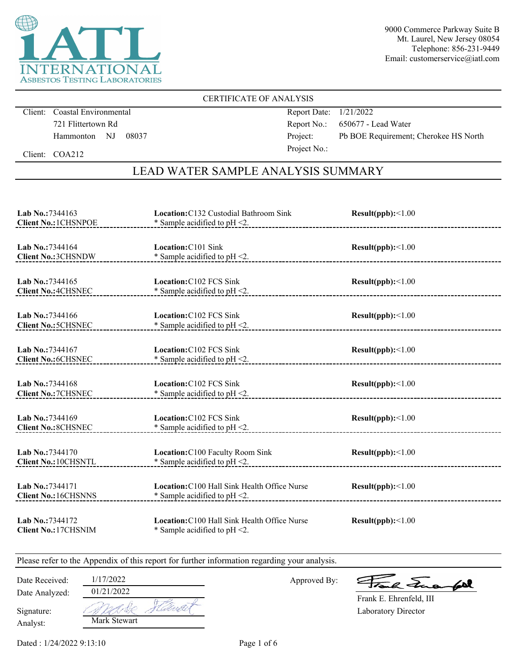

## CERTIFICATE OF ANALYSIS

Client: Coastal Environmental 721 Flittertown Rd Hammonton NJ 08037 Report Date: 1/21/2022 Report No.: 650677 - Lead Water Project: Pb BOE Requirement; Cherokee HS North Project No.:

Client: COA212

# LEAD WATER SAMPLE ANALYSIS SUMMARY

| Lab No.: 7344163<br><b>Client No.: 1CHSNPOE</b>      | Location: C132 Custodial Bathroom Sink<br>Result(ppb):<1.00<br>* Sample acidified to $pH < 2$ . |                   |  |
|------------------------------------------------------|-------------------------------------------------------------------------------------------------|-------------------|--|
| Lab No.: 7344164<br><b>Client No.: 3CHSNDW</b>       | Location: C101 Sink<br>* Sample acidified to pH <2.                                             | Result(ppb):<1.00 |  |
| <b>Lab No.:7344165</b><br><b>Client No.: 4CHSNEC</b> | Location: C102 FCS Sink<br>* Sample acidified to $pH < 2$ .                                     | Result(ppb):<1.00 |  |
| Lab No.: 7344166<br><b>Client No.: 5CHSNEC</b>       | Location: C102 FCS Sink<br>* Sample acidified to $pH < 2$ .                                     | Result(ppb):<1.00 |  |
| <b>Lab No.:7344167</b><br><b>Client No.: 6CHSNEC</b> | Location: C102 FCS Sink<br>* Sample acidified to $pH < 2$ .                                     | Result(ppb):<1.00 |  |
| Lab No.: 7344168<br><b>Client No.: 7CHSNEC</b>       | Location: C102 FCS Sink<br>* Sample acidified to $pH < 2$ .                                     | Result(ppb):<1.00 |  |
| Lab No.: 7344169<br><b>Client No.: 8CHSNEC</b>       | Location: C102 FCS Sink<br>* Sample acidified to $pH < 2$ .                                     | Result(ppb):<1.00 |  |
| Lab No.: 7344170<br><b>Client No.: 10CHSNTL</b>      | Location: C100 Faculty Room Sink<br>* Sample acidified to $pH < 2$ .                            | Result(ppb):<1.00 |  |
| Lab No.: 7344171<br><b>Client No.: 16CHSNNS</b>      | Location: C100 Hall Sink Health Office Nurse<br>* Sample acidified to $pH < 2$ .                | Result(ppb):<1.00 |  |
| Lab No.: 7344172<br><b>Client No.: 17CHSNIM</b>      | Location: C100 Hall Sink Health Office Nurse<br>* Sample acidified to $pH < 2$ .                | Result(ppb):<1.00 |  |

Please refer to the Appendix of this report for further information regarding your analysis.

Approved By:

a Juan fall

Laboratory Director Frank E. Ehrenfeld, III

Analyst: Signature:

Date Analyzed:

| 01/21/2022   |  |
|--------------|--|
|              |  |
| Mark Stewart |  |

Date Received: 1/17/2022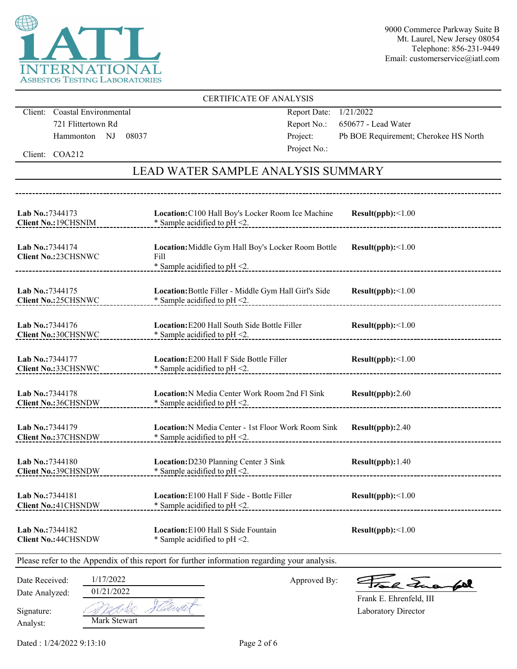

|                                  |                                                        |                                                                                              | <b>CERTIFICATE OF ANALYSIS</b>                                          |                                                |
|----------------------------------|--------------------------------------------------------|----------------------------------------------------------------------------------------------|-------------------------------------------------------------------------|------------------------------------------------|
|                                  | Client: Coastal Environmental                          |                                                                                              | Report Date:                                                            | 1/21/2022                                      |
|                                  | 721 Flittertown Rd                                     |                                                                                              | Report No.:                                                             | 650677 - Lead Water                            |
|                                  | Hammonton NJ                                           | 08037                                                                                        | Project:                                                                | Pb BOE Requirement; Cherokee HS North          |
|                                  | Client: COA212                                         |                                                                                              | Project No.:                                                            |                                                |
|                                  |                                                        |                                                                                              | <b>LEAD WATER SAMPLE ANALYSIS SUMMARY</b>                               |                                                |
|                                  |                                                        |                                                                                              |                                                                         |                                                |
| Lab No.:7344173                  | <b>Client No.: 19CHSNIM</b>                            | $*$ Sample acidified to pH <2.                                                               | Location: C100 Hall Boy's Locker Room Ice Machine Result(ppb):<1.00     |                                                |
| Lab No.:7344174                  | Client No.: 23CHSNWC<br>------------------------------ | Fill<br>* Sample acidified to $pH < 2$ .                                                     | Location: Middle Gym Hall Boy's Locker Room Bottle                      | Result(ppb):<1.00                              |
| <b>Lab No.:7344175</b>           | Client No.:25CHSNWC                                    | $*$ Sample acidified to pH $\leq$ 2.                                                         | Location: Bottle Filler - Middle Gym Hall Girl's Side Result(ppb):<1.00 |                                                |
| Lab No.:7344176                  | <b>Client No.:30CHSNWC</b>                             | * Sample acidified to pH <2.                                                                 | Location: E200 Hall South Side Bottle Filler                            | Result(ppb):<1.00                              |
| Lab No.:7344177                  | Client No.:33CHSNWC                                    | Location: E200 Hall F Side Bottle Filler<br>* Sample acidified to pH <2.                     |                                                                         | Result(ppb):<1.00                              |
| Lab No.:7344178                  | <b>Client No.:36CHSNDW</b>                             | $*$ Sample acidified to pH <2.                                                               | Location: N Media Center Work Room 2nd Fl Sink                          | Result(ppb):2.60                               |
| Lab No.: 7344179                 | <b>Client No.:37CHSNDW</b>                             | * Sample acidified to $pH < 2$ .                                                             | Location: N Media Center - 1st Floor Work Room Sink Result(ppb): 2.40   |                                                |
| Lab No.:7344180                  | <b>Client No.: 39CHSNDW</b>                            | Location: D230 Planning Center 3 Sink<br>* Sample acidified to pH <2.                        |                                                                         | Result(ppb): 1.40                              |
| Lab No.:7344181                  | <b>Client No.: 41 CHSNDW</b>                           | Location: E100 Hall F Side - Bottle Filler<br>* Sample acidified to $pH < 2$ .               |                                                                         | Result(ppb):<1.00                              |
| Lab No.:7344182                  | <b>Client No.: 44CHSNDW</b>                            | Location: E100 Hall S Side Fountain<br>* Sample acidified to $pH < 2$ .                      |                                                                         | Result(ppb):<1.00                              |
|                                  |                                                        | Please refer to the Appendix of this report for further information regarding your analysis. |                                                                         |                                                |
| Date Received:<br>Date Analyzed: | 1/17/2022<br>01/21/2022                                |                                                                                              | Approved By:                                                            | $\sum_{\alpha}$                                |
| Signature:<br>Analyst:           | <b>Mark Stewart</b>                                    |                                                                                              |                                                                         | Frank E. Ehrenfeld, III<br>Laboratory Director |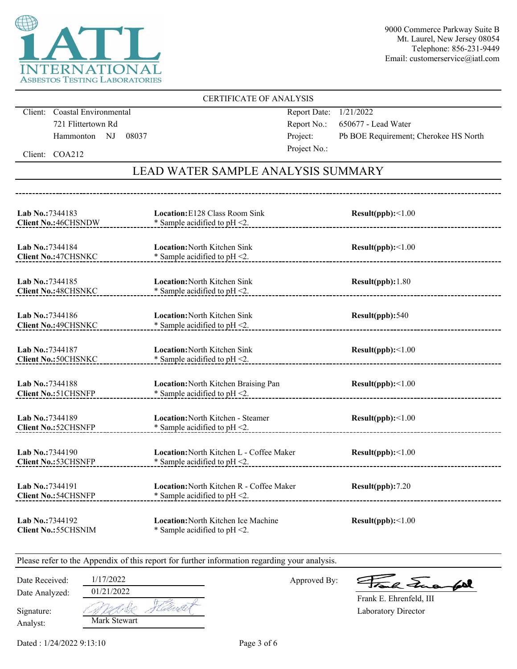

### CERTIFICATE OF ANALYSIS

Client: Coastal Environmental 721 Flittertown Rd Hammonton NJ 08037 Report Date: 1/21/2022 Report No.: 650677 - Lead Water Project: Pb BOE Requirement; Cherokee HS North Project No.:

Client: COA212

## LEAD WATER SAMPLE ANALYSIS SUMMARY

| Lab No.: 7344183<br><b>Client No.: 46CHSNDW</b> | Location: E128 Class Room Sink<br>Result(ppb):<1.00<br>* Sample acidified to $pH < 2$ . |                          |  |
|-------------------------------------------------|-----------------------------------------------------------------------------------------|--------------------------|--|
| Lab No.: 7344184<br><b>Client No.: 47CHSNKC</b> | <b>Location: North Kitchen Sink</b><br>* Sample acidified to $pH < 2$ .                 | Result(ppb):<1.00        |  |
| Lab No.:7344185<br><b>Client No.: 48CHSNKC</b>  | <b>Location: North Kitchen Sink</b><br>* Sample acidified to $pH < 2$ .                 | Result(ppb): 1.80        |  |
| Lab No.: 7344186<br><b>Client No.: 49CHSNKC</b> | <b>Location: North Kitchen Sink</b><br>* Sample acidified to $pH < 2$ .                 | Result(ppb):540          |  |
| Lab No.:7344187<br><b>Client No.: 50CHSNKC</b>  | <b>Location: North Kitchen Sink</b><br>* Sample acidified to $pH < 2$ .                 | Result(ppb):<1.00        |  |
| Lab No.:7344188<br><b>Client No.: 51 CHSNFP</b> | Location: North Kitchen Braising Pan<br>* Sample acidified to $pH < 2$ .                | Result(ppb):<1.00        |  |
| Lab No.: 7344189<br><b>Client No.: 52CHSNFP</b> | Location: North Kitchen - Steamer<br>* Sample acidified to $pH < 2$ .                   | Result(ppb):<1.00        |  |
| Lab No.:7344190<br><b>Client No.: 53CHSNFP</b>  | Location: North Kitchen L - Coffee Maker<br>* Sample acidified to $pH < 2$ .            | $Result(ppb): \leq 1.00$ |  |
| Lab No.: 7344191<br><b>Client No.: 54CHSNFP</b> | Location: North Kitchen R - Coffee Maker<br>* Sample acidified to $pH < 2$ .            | Result(ppb):7.20         |  |
| Lab No.: 7344192<br><b>Client No.: 55CHSNIM</b> | <b>Location: North Kitchen Ice Machine</b><br>* Sample acidified to $pH < 2$ .          | Result(ppb):<1.00        |  |

Please refer to the Appendix of this report for further information regarding your analysis.

Date Received: 1/17/2022

Date Analyzed:

Approved By:

a Juan fall

Laboratory Director Frank E. Ehrenfeld, III

Analyst: Signature:

1 de Mark Stewart

01/21/2022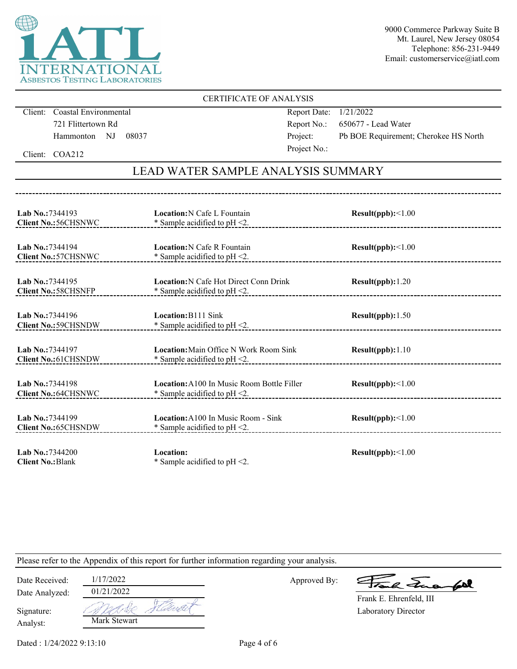

## CERTIFICATE OF ANALYSIS

Client: Coastal Environmental 721 Flittertown Rd Hammonton NJ 08037 Report Date: 1/21/2022 Report No.: 650677 - Lead Water Project: Pb BOE Requirement; Cherokee HS North Project No.:

Client: COA212

# LEAD WATER SAMPLE ANALYSIS SUMMARY

| <b>Location:</b> Main Office N Work Room Sink<br>Result(ppb): 1.10<br>* Sample acidified to $pH < 2$ . |  |
|--------------------------------------------------------------------------------------------------------|--|
|                                                                                                        |  |
|                                                                                                        |  |
|                                                                                                        |  |
|                                                                                                        |  |
|                                                                                                        |  |
|                                                                                                        |  |
|                                                                                                        |  |
|                                                                                                        |  |
|                                                                                                        |  |
|                                                                                                        |  |
|                                                                                                        |  |

Please refer to the Appendix of this report for further information regarding your analysis.

| Date Received:         | 1/17/2022    |  |
|------------------------|--------------|--|
| Date Analyzed:         | 01/21/2022   |  |
| Signature:<br>Analyst: | Mark Stewart |  |

Approved By:

a Jua fol

Laboratory Director Frank E. Ehrenfeld, III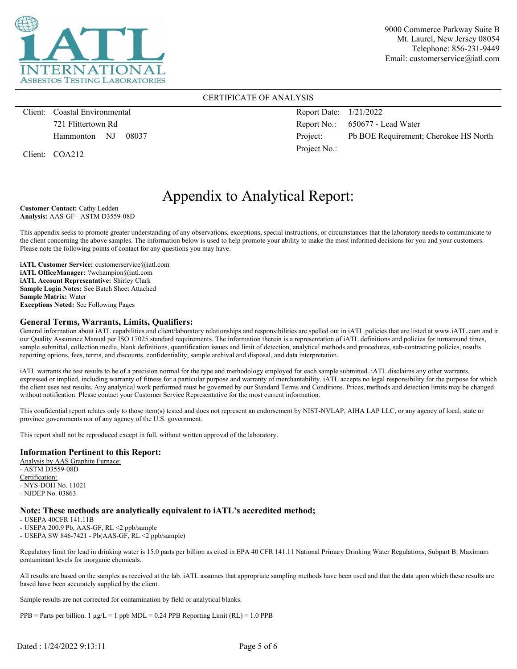

### CERTIFICATE OF ANALYSIS

Client: Coastal Environmental 721 Flittertown Rd Hammonton NJ 08037

Client: COA212

Report Date: 1/21/2022 Report No.: 650677 - Lead Water Project: Pb BOE Requirement; Cherokee HS North Project No.:

# Appendix to Analytical Report:

**Customer Contact:** Cathy Ledden **Analysis:** AAS-GF - ASTM D3559-08D

This appendix seeks to promote greater understanding of any observations, exceptions, special instructions, or circumstances that the laboratory needs to communicate to the client concerning the above samples. The information below is used to help promote your ability to make the most informed decisions for you and your customers. Please note the following points of contact for any questions you may have.

**iATL Customer Service:** customerservice@iatl.com **iATL OfficeManager:** ?wchampion@iatl.com **iATL Account Representative:** Shirley Clark **Sample Login Notes:** See Batch Sheet Attached **Sample Matrix:** Water **Exceptions Noted:** See Following Pages

### **General Terms, Warrants, Limits, Qualifiers:**

General information about iATL capabilities and client/laboratory relationships and responsibilities are spelled out in iATL policies that are listed at www.iATL.com and in our Quality Assurance Manual per ISO 17025 standard requirements. The information therein is a representation of iATL definitions and policies for turnaround times, sample submittal, collection media, blank definitions, quantification issues and limit of detection, analytical methods and procedures, sub-contracting policies, results reporting options, fees, terms, and discounts, confidentiality, sample archival and disposal, and data interpretation.

iATL warrants the test results to be of a precision normal for the type and methodology employed for each sample submitted. iATL disclaims any other warrants, expressed or implied, including warranty of fitness for a particular purpose and warranty of merchantability. iATL accepts no legal responsibility for the purpose for which the client uses test results. Any analytical work performed must be governed by our Standard Terms and Conditions. Prices, methods and detection limits may be changed without notification. Please contact your Customer Service Representative for the most current information.

This confidential report relates only to those item(s) tested and does not represent an endorsement by NIST-NVLAP, AIHA LAP LLC, or any agency of local, state or province governments nor of any agency of the U.S. government.

This report shall not be reproduced except in full, without written approval of the laboratory.

### **Information Pertinent to this Report:**

Analysis by AAS Graphite Furnace: - ASTM D3559-08D Certification: - NYS-DOH No. 11021 - NJDEP No. 03863

### **Note: These methods are analytically equivalent to iATL's accredited method;**

- USEPA 40CFR 141.11B

- USEPA 200.9 Pb, AAS-GF, RL <2 ppb/sample

- USEPA SW 846-7421 - Pb(AAS-GF, RL <2 ppb/sample)

Regulatory limit for lead in drinking water is 15.0 parts per billion as cited in EPA 40 CFR 141.11 National Primary Drinking Water Regulations, Subpart B: Maximum contaminant levels for inorganic chemicals.

All results are based on the samples as received at the lab. iATL assumes that appropriate sampling methods have been used and that the data upon which these results are based have been accurately supplied by the client.

Sample results are not corrected for contamination by field or analytical blanks.

 $PPB =$  Parts per billion. 1  $\mu g/L = 1$  ppb MDL = 0.24 PPB Reporting Limit (RL) = 1.0 PPB